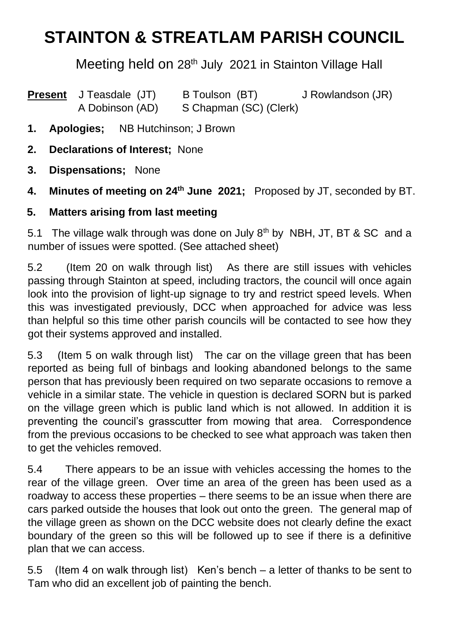## **STAINTON & STREATLAM PARISH COUNCIL**

Meeting held on 28<sup>th</sup> July 2021 in Stainton Village Hall

- **Present** J Teasdale (JT) B Toulson (BT) J Rowlandson (JR) A Dobinson (AD) S Chapman (SC) (Clerk)
- **1. Apologies;** NB Hutchinson; J Brown
- **2. Declarations of Interest;** None
- **3. Dispensations;** None
- 4. **Minutes of meeting on 24<sup>th</sup> June 2021;** Proposed by JT, seconded by BT.
- **5. Matters arising from last meeting**

5.1 The village walk through was done on July 8<sup>th</sup> by NBH, JT, BT & SC and a number of issues were spotted. (See attached sheet)

5.2 (Item 20 on walk through list) As there are still issues with vehicles passing through Stainton at speed, including tractors, the council will once again look into the provision of light-up signage to try and restrict speed levels. When this was investigated previously, DCC when approached for advice was less than helpful so this time other parish councils will be contacted to see how they got their systems approved and installed.

5.3 (Item 5 on walk through list) The car on the village green that has been reported as being full of binbags and looking abandoned belongs to the same person that has previously been required on two separate occasions to remove a vehicle in a similar state. The vehicle in question is declared SORN but is parked on the village green which is public land which is not allowed. In addition it is preventing the council's grasscutter from mowing that area. Correspondence from the previous occasions to be checked to see what approach was taken then to get the vehicles removed.

5.4 There appears to be an issue with vehicles accessing the homes to the rear of the village green. Over time an area of the green has been used as a roadway to access these properties – there seems to be an issue when there are cars parked outside the houses that look out onto the green. The general map of the village green as shown on the DCC website does not clearly define the exact boundary of the green so this will be followed up to see if there is a definitive plan that we can access.

5.5 (Item 4 on walk through list) Ken's bench – a letter of thanks to be sent to Tam who did an excellent job of painting the bench.